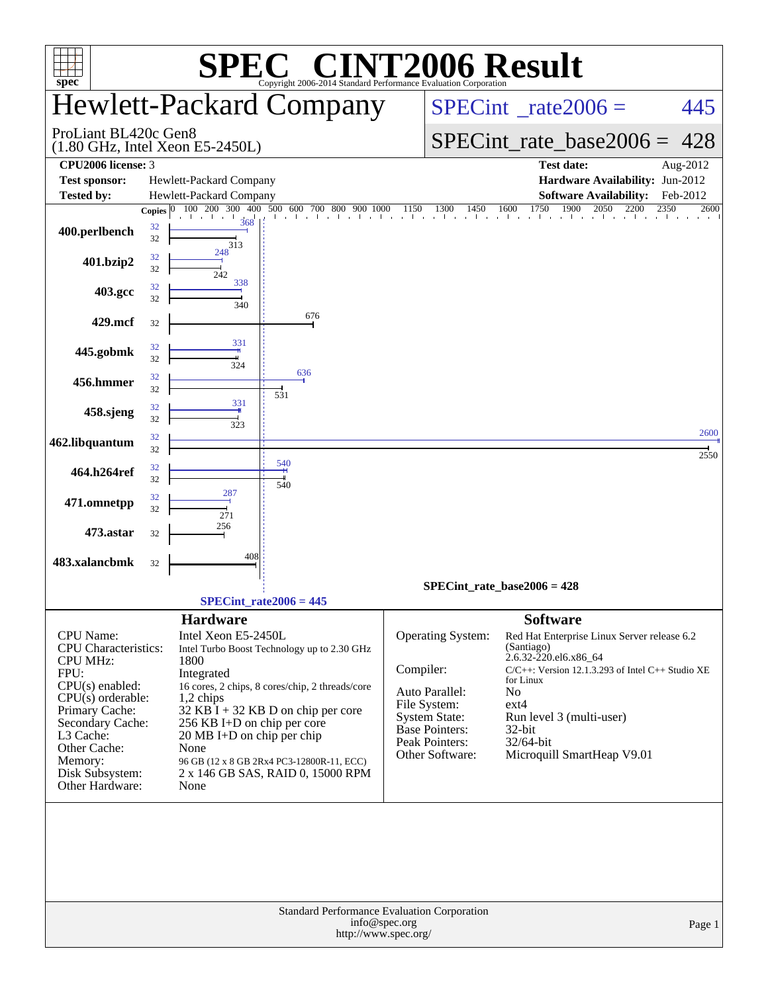| $spec^*$                           |              |                                              | $\blacksquare$<br>Copyright 2006-2014 Standard Performance Evaluation Corporation |               |                                      | <b>NT2006 Result</b>                                                           |              |
|------------------------------------|--------------|----------------------------------------------|-----------------------------------------------------------------------------------|---------------|--------------------------------------|--------------------------------------------------------------------------------|--------------|
|                                    |              |                                              | <b>Hewlett-Packard Company</b>                                                    |               |                                      | $SPECint^{\circ}$ rate $2006 =$                                                | 445          |
| ProLiant BL420c Gen8               |              | $(1.80$ GHz, Intel Xeon E5-2450L)            |                                                                                   |               |                                      | $SPECint_rate\_base2006 =$                                                     | 428          |
| CPU <sub>2006</sub> license: 3     |              |                                              |                                                                                   |               |                                      | <b>Test date:</b>                                                              | Aug-2012     |
| <b>Test sponsor:</b>               |              | Hewlett-Packard Company                      |                                                                                   |               |                                      | Hardware Availability: Jun-2012                                                |              |
| <b>Tested by:</b>                  |              | Hewlett-Packard Company                      |                                                                                   |               |                                      | <b>Software Availability:</b>                                                  | Feb-2012     |
|                                    | Copies $ 0 $ | 400<br>100 200 300                           | 500<br>600 700 800<br>900                                                         |               |                                      | 1750<br>1900<br>$1150$ $1300$ $1450$ $1600$ $1750$ $1900$ $2050$ $220$<br>2200 | 2350<br>2600 |
| 400.perlbench                      | 32<br>32     | 368                                          | in a chiadh ann an                                                                |               |                                      |                                                                                |              |
| 401.bzip2                          | 32<br>32     | 313<br>248                                   |                                                                                   |               |                                      |                                                                                |              |
| 403.gcc                            | 32<br>32     | 242<br>338                                   |                                                                                   |               |                                      |                                                                                |              |
| 429.mcf                            | 32           | 340                                          | 676                                                                               |               |                                      |                                                                                |              |
| 445.gobmk                          | 32<br>32     | 331                                          |                                                                                   |               |                                      |                                                                                |              |
| 456.hmmer                          | 32<br>32     | 324                                          | 636                                                                               |               |                                      |                                                                                |              |
| 458.sjeng                          | 32<br>32     | 331                                          | 531                                                                               |               |                                      |                                                                                |              |
| 462.libquantum                     | 32<br>32     | 323                                          |                                                                                   |               |                                      |                                                                                | 2600         |
| 464.h264ref                        | 32           |                                              | 540                                                                               |               |                                      |                                                                                | 2550         |
| 471.omnetpp                        | 32<br>32     | 287                                          | 540                                                                               |               |                                      |                                                                                |              |
| 473.astar                          | 32<br>32     | 271<br>256                                   |                                                                                   |               |                                      |                                                                                |              |
| 483.xalancbmk                      | 32           | 408                                          |                                                                                   |               |                                      |                                                                                |              |
|                                    |              |                                              |                                                                                   |               |                                      | SPECint rate base $2006 = 428$                                                 |              |
|                                    |              |                                              | $SPECint_rate2006 = 445$                                                          |               |                                      |                                                                                |              |
|                                    |              | <b>Hardware</b>                              |                                                                                   |               |                                      | <b>Software</b>                                                                |              |
| <b>CPU</b> Name:                   |              | Intel Xeon E5-2450L                          |                                                                                   |               | Operating System:                    | Red Hat Enterprise Linux Server release 6.2                                    |              |
| <b>CPU</b> Characteristics:        |              |                                              | Intel Turbo Boost Technology up to 2.30 GHz                                       |               |                                      | (Santiago)<br>2.6.32-220.el6.x86_64                                            |              |
| <b>CPU MHz:</b><br>FPU:            |              | 1800<br>Integrated                           |                                                                                   | Compiler:     |                                      | C/C++: Version 12.1.3.293 of Intel C++ Studio XE                               |              |
| CPU(s) enabled:                    |              |                                              | 16 cores, 2 chips, 8 cores/chip, 2 threads/core                                   |               |                                      | for Linux                                                                      |              |
| $CPU(s)$ orderable:                |              | $1,2$ chips                                  |                                                                                   |               | Auto Parallel:                       | N <sub>o</sub>                                                                 |              |
| Primary Cache:                     |              |                                              | $32$ KB I + 32 KB D on chip per core                                              |               | File System:<br><b>System State:</b> | $ext{4}$<br>Run level 3 (multi-user)                                           |              |
| Secondary Cache:                   |              | 256 KB I+D on chip per core                  |                                                                                   |               | <b>Base Pointers:</b>                | 32-bit                                                                         |              |
| L3 Cache:<br>Other Cache:          |              | $20 \text{ MB I+D}$ on chip per chip<br>None |                                                                                   |               | Peak Pointers:                       | 32/64-bit                                                                      |              |
| Memory:                            |              |                                              | 96 GB (12 x 8 GB 2Rx4 PC3-12800R-11, ECC)                                         |               | Other Software:                      | Microquill SmartHeap V9.01                                                     |              |
| Disk Subsystem:<br>Other Hardware: |              | None                                         | 2 x 146 GB SAS, RAID 0, 15000 RPM                                                 |               |                                      |                                                                                |              |
|                                    |              |                                              | Standard Performance Evaluation Corporation                                       |               |                                      |                                                                                |              |
|                                    |              |                                              | http://www.spec.org/                                                              | info@spec.org |                                      |                                                                                | Page 1       |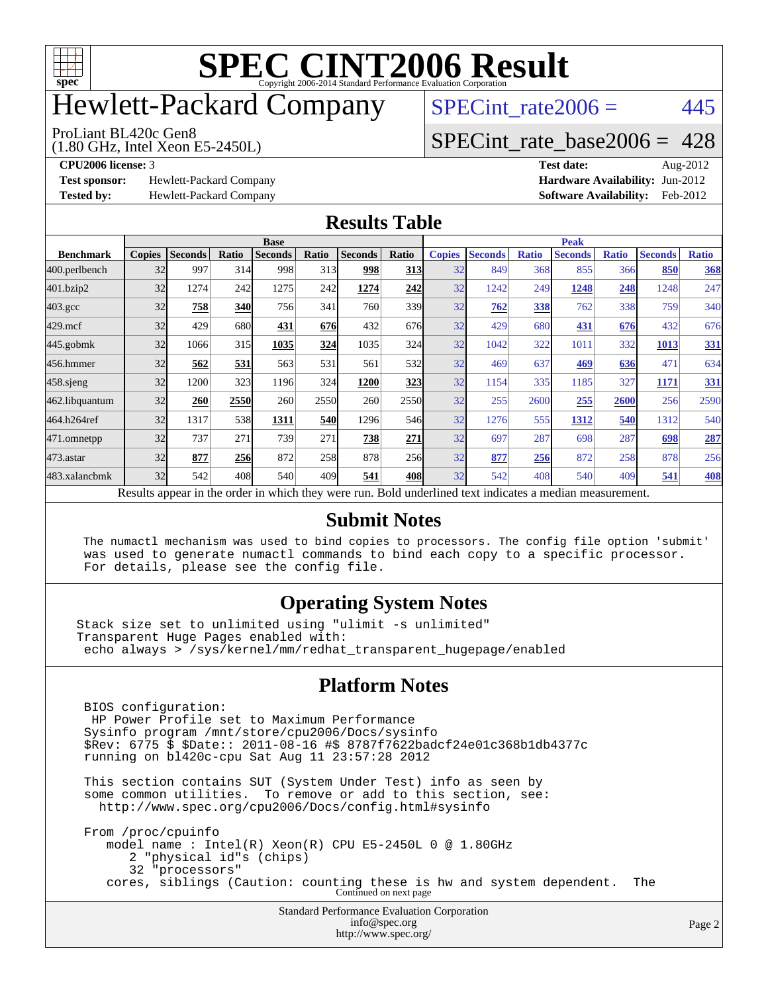

## Hewlett-Packard Company

(1.80 GHz, Intel Xeon E5-2450L) ProLiant BL420c Gen8

 $SPECTnt_rate2006 = 445$ 

#### [SPECint\\_rate\\_base2006 =](http://www.spec.org/auto/cpu2006/Docs/result-fields.html#SPECintratebase2006) 428

**[Test sponsor:](http://www.spec.org/auto/cpu2006/Docs/result-fields.html#Testsponsor)** Hewlett-Packard Company **[Hardware Availability:](http://www.spec.org/auto/cpu2006/Docs/result-fields.html#HardwareAvailability)** Jun-2012

**[CPU2006 license:](http://www.spec.org/auto/cpu2006/Docs/result-fields.html#CPU2006license)** 3 **[Test date:](http://www.spec.org/auto/cpu2006/Docs/result-fields.html#Testdate)** Aug-2012 **[Tested by:](http://www.spec.org/auto/cpu2006/Docs/result-fields.html#Testedby)** Hewlett-Packard Company **[Software Availability:](http://www.spec.org/auto/cpu2006/Docs/result-fields.html#SoftwareAvailability)** Feb-2012

#### **[Results Table](http://www.spec.org/auto/cpu2006/Docs/result-fields.html#ResultsTable)**

|                                                                                                          | <b>Base</b>   |                |       |                |       |                |            | <b>Peak</b>   |                |              |                |              |                |              |
|----------------------------------------------------------------------------------------------------------|---------------|----------------|-------|----------------|-------|----------------|------------|---------------|----------------|--------------|----------------|--------------|----------------|--------------|
| <b>Benchmark</b>                                                                                         | <b>Copies</b> | <b>Seconds</b> | Ratio | <b>Seconds</b> | Ratio | <b>Seconds</b> | Ratio      | <b>Copies</b> | <b>Seconds</b> | <b>Ratio</b> | <b>Seconds</b> | <b>Ratio</b> | <b>Seconds</b> | <b>Ratio</b> |
| 400.perlbench                                                                                            | 32            | 997            | 314   | 998            | 313   | 998            | <b>313</b> | 32            | 849            | 368          | 855            | 366          | 850            | 368          |
| 401.bzip2                                                                                                | 32            | 1274           | 242   | 1275           | 242   | 1274           | 242        | 32            | 1242           | 249          | 1248           | 248          | 1248           | 247          |
| $403.\mathrm{gcc}$                                                                                       | 32            | 758            | 340   | 756            | 341   | 760            | 339l       | 32            | 762            | 338          | 762            | 338          | 759            | 340          |
| $429$ .mcf                                                                                               | 32            | 429            | 680   | 431            | 676   | 432            | 676        | 32            | 429            | 680          | 431            | 676          | 432            | 676          |
| $445$ .gobm $k$                                                                                          | 32            | 1066           | 315   | 1035           | 324   | 1035           | 324        | 32            | 1042           | 322          | 1011           | 332          | 1013           | <u>331</u>   |
| 456.hmmer                                                                                                | 32            | 562            | 531   | 563            | 531   | 561            | 532        | 32            | 469            | 637          | 469            | 636          | 471            | 634          |
| $458$ .sjeng                                                                                             | 32            | 1200           | 323   | 1196           | 324   | 1200           | 323        | 32            | 1154           | 335          | 1185           | 327          | 1171           | 331          |
| 462.libquantum                                                                                           | 32            | 260            | 2550  | 260            | 2550  | 260            | 2550       | 32            | 255            | 2600         | 255            | 2600         | 256            | 2590         |
| 464.h264ref                                                                                              | 32            | 1317           | 538   | 1311           | 540   | 1296           | 546        | 32            | 1276           | 555          | 1312           | 540          | 1312           | 540          |
| 471.omnetpp                                                                                              | 32            | 737            | 271   | 739            | 271   | 738            | 271        | 32            | 697            | 287          | 698            | 287          | 698            | 287          |
| $473.$ astar                                                                                             | 32            | 877            | 256   | 872            | 258   | 878            | 256        | 32            | 877            | 256          | 872            | 258          | 878            | 256          |
| 483.xalancbmk                                                                                            | 32            | 542            | 408   | 540            | 409   | 541            | 408l       | 32            | 542            | 408          | 540            | 409          | 541            | <b>408</b>   |
| Results appear in the order in which they were run. Bold underlined text indicates a median measurement. |               |                |       |                |       |                |            |               |                |              |                |              |                |              |

#### **[Submit Notes](http://www.spec.org/auto/cpu2006/Docs/result-fields.html#SubmitNotes)**

 The numactl mechanism was used to bind copies to processors. The config file option 'submit' was used to generate numactl commands to bind each copy to a specific processor. For details, please see the config file.

#### **[Operating System Notes](http://www.spec.org/auto/cpu2006/Docs/result-fields.html#OperatingSystemNotes)**

Stack size set to unlimited using "ulimit -s unlimited" Transparent Huge Pages enabled with: echo always > /sys/kernel/mm/redhat\_transparent\_hugepage/enabled

#### **[Platform Notes](http://www.spec.org/auto/cpu2006/Docs/result-fields.html#PlatformNotes)**

Standard Performance Evaluation Corporation BIOS configuration: HP Power Profile set to Maximum Performance Sysinfo program /mnt/store/cpu2006/Docs/sysinfo \$Rev: 6775 \$ \$Date:: 2011-08-16 #\$ 8787f7622badcf24e01c368b1db4377c running on bl420c-cpu Sat Aug 11 23:57:28 2012 This section contains SUT (System Under Test) info as seen by some common utilities. To remove or add to this section, see: <http://www.spec.org/cpu2006/Docs/config.html#sysinfo> From /proc/cpuinfo model name : Intel(R) Xeon(R) CPU E5-2450L 0 @ 1.80GHz 2 "physical id"s (chips) 32 "processors" cores, siblings (Caution: counting these is hw and system dependent. The Continued on next page

[info@spec.org](mailto:info@spec.org) <http://www.spec.org/>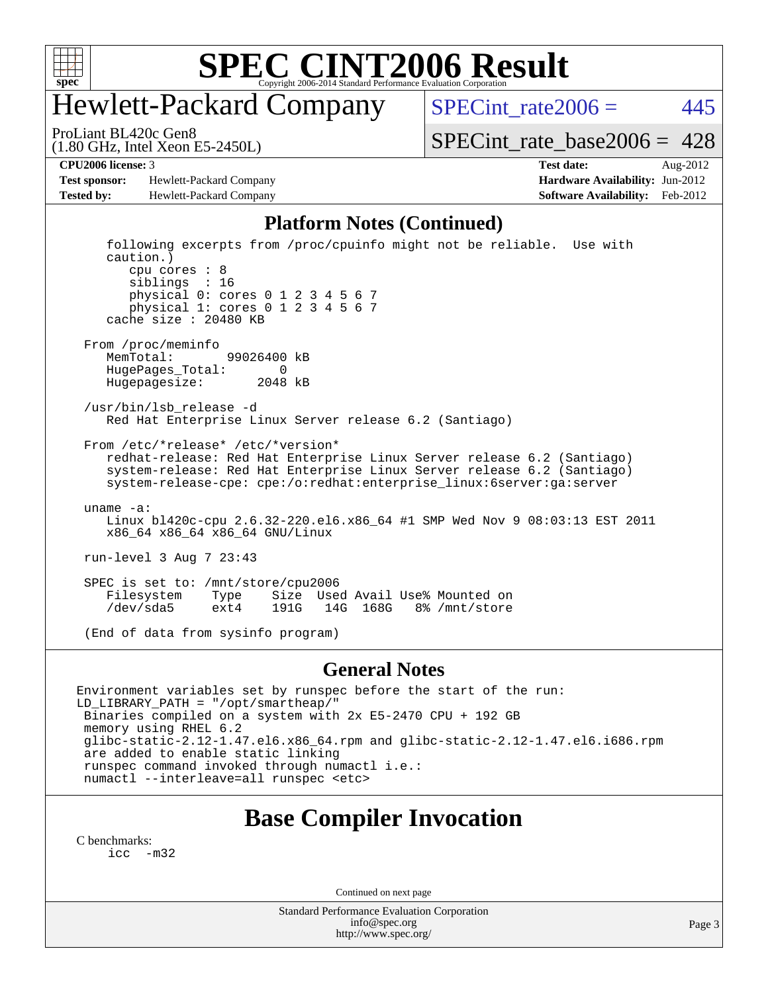

## Hewlett-Packard Company

 $SPECTnt_rate2006 = 445$ 

(1.80 GHz, Intel Xeon E5-2450L) ProLiant BL420c Gen8

[SPECint\\_rate\\_base2006 =](http://www.spec.org/auto/cpu2006/Docs/result-fields.html#SPECintratebase2006)  $428$ 

**[Test sponsor:](http://www.spec.org/auto/cpu2006/Docs/result-fields.html#Testsponsor)** Hewlett-Packard Company **[Hardware Availability:](http://www.spec.org/auto/cpu2006/Docs/result-fields.html#HardwareAvailability)** Jun-2012 **[Tested by:](http://www.spec.org/auto/cpu2006/Docs/result-fields.html#Testedby)** Hewlett-Packard Company **[Software Availability:](http://www.spec.org/auto/cpu2006/Docs/result-fields.html#SoftwareAvailability)** Feb-2012

**[CPU2006 license:](http://www.spec.org/auto/cpu2006/Docs/result-fields.html#CPU2006license)** 3 **[Test date:](http://www.spec.org/auto/cpu2006/Docs/result-fields.html#Testdate)** Aug-2012

#### **[Platform Notes \(Continued\)](http://www.spec.org/auto/cpu2006/Docs/result-fields.html#PlatformNotes)**

 following excerpts from /proc/cpuinfo might not be reliable. Use with caution.) cpu cores : 8 siblings : 16 physical 0: cores 0 1 2 3 4 5 6 7 physical 1: cores 0 1 2 3 4 5 6 7 cache size : 20480 KB From /proc/meminfo MemTotal: 99026400 kB HugePages\_Total: 0 Hugepagesize: 2048 kB /usr/bin/lsb\_release -d Red Hat Enterprise Linux Server release 6.2 (Santiago) From /etc/\*release\* /etc/\*version\* redhat-release: Red Hat Enterprise Linux Server release 6.2 (Santiago) system-release: Red Hat Enterprise Linux Server release 6.2 (Santiago) system-release-cpe: cpe:/o:redhat:enterprise\_linux:6server:ga:server uname -a: Linux bl420c-cpu 2.6.32-220.el6.x86\_64 #1 SMP Wed Nov 9 08:03:13 EST 2011 x86\_64 x86\_64 x86\_64 GNU/Linux run-level 3 Aug 7 23:43 SPEC is set to: /mnt/store/cpu2006<br>Filesystem Type Size Use Type Size Used Avail Use% Mounted on<br>ext4 191G 14G 168G 8% /mnt/store /dev/sda5 ext4 191G 14G 168G 8% /mnt/store (End of data from sysinfo program)

#### **[General Notes](http://www.spec.org/auto/cpu2006/Docs/result-fields.html#GeneralNotes)**

Environment variables set by runspec before the start of the run: LD\_LIBRARY\_PATH = "/opt/smartheap/" Binaries compiled on a system with 2x E5-2470 CPU + 192 GB memory using RHEL 6.2 glibc-static-2.12-1.47.el6.x86\_64.rpm and glibc-static-2.12-1.47.el6.i686.rpm are added to enable static linking runspec command invoked through numactl i.e.: numactl --interleave=all runspec <etc>

### **[Base Compiler Invocation](http://www.spec.org/auto/cpu2006/Docs/result-fields.html#BaseCompilerInvocation)**

[C benchmarks](http://www.spec.org/auto/cpu2006/Docs/result-fields.html#Cbenchmarks): [icc -m32](http://www.spec.org/cpu2006/results/res2012q3/cpu2006-20120911-24417.flags.html#user_CCbase_intel_icc_5ff4a39e364c98233615fdd38438c6f2)

Continued on next page

Standard Performance Evaluation Corporation [info@spec.org](mailto:info@spec.org) <http://www.spec.org/>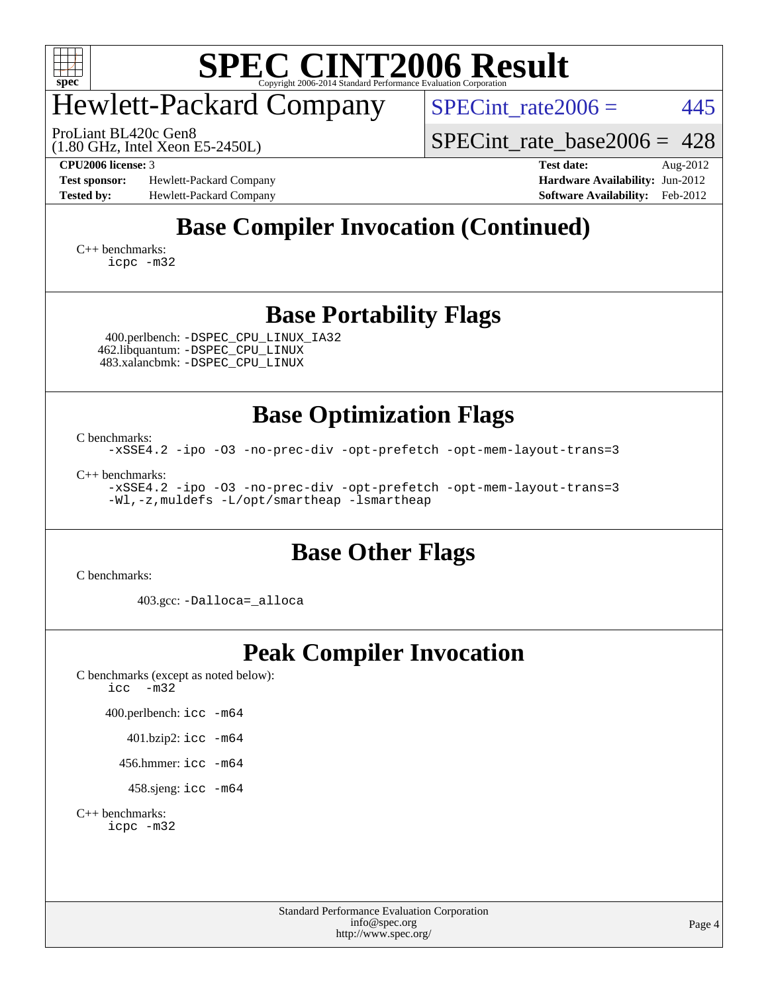

## Hewlett-Packard Company

SPECint rate $2006 = 445$ 

(1.80 GHz, Intel Xeon E5-2450L) ProLiant BL420c Gen8

[SPECint\\_rate\\_base2006 =](http://www.spec.org/auto/cpu2006/Docs/result-fields.html#SPECintratebase2006) 428

**[Test sponsor:](http://www.spec.org/auto/cpu2006/Docs/result-fields.html#Testsponsor)** Hewlett-Packard Company **[Hardware Availability:](http://www.spec.org/auto/cpu2006/Docs/result-fields.html#HardwareAvailability)** Jun-2012 **[Tested by:](http://www.spec.org/auto/cpu2006/Docs/result-fields.html#Testedby)** Hewlett-Packard Company **[Software Availability:](http://www.spec.org/auto/cpu2006/Docs/result-fields.html#SoftwareAvailability)** Feb-2012

**[CPU2006 license:](http://www.spec.org/auto/cpu2006/Docs/result-fields.html#CPU2006license)** 3 **[Test date:](http://www.spec.org/auto/cpu2006/Docs/result-fields.html#Testdate)** Aug-2012

## **[Base Compiler Invocation \(Continued\)](http://www.spec.org/auto/cpu2006/Docs/result-fields.html#BaseCompilerInvocation)**

[C++ benchmarks:](http://www.spec.org/auto/cpu2006/Docs/result-fields.html#CXXbenchmarks) [icpc -m32](http://www.spec.org/cpu2006/results/res2012q3/cpu2006-20120911-24417.flags.html#user_CXXbase_intel_icpc_4e5a5ef1a53fd332b3c49e69c3330699)

#### **[Base Portability Flags](http://www.spec.org/auto/cpu2006/Docs/result-fields.html#BasePortabilityFlags)**

 400.perlbench: [-DSPEC\\_CPU\\_LINUX\\_IA32](http://www.spec.org/cpu2006/results/res2012q3/cpu2006-20120911-24417.flags.html#b400.perlbench_baseCPORTABILITY_DSPEC_CPU_LINUX_IA32) 462.libquantum: [-DSPEC\\_CPU\\_LINUX](http://www.spec.org/cpu2006/results/res2012q3/cpu2006-20120911-24417.flags.html#b462.libquantum_baseCPORTABILITY_DSPEC_CPU_LINUX) 483.xalancbmk: [-DSPEC\\_CPU\\_LINUX](http://www.spec.org/cpu2006/results/res2012q3/cpu2006-20120911-24417.flags.html#b483.xalancbmk_baseCXXPORTABILITY_DSPEC_CPU_LINUX)

**[Base Optimization Flags](http://www.spec.org/auto/cpu2006/Docs/result-fields.html#BaseOptimizationFlags)**

[C benchmarks](http://www.spec.org/auto/cpu2006/Docs/result-fields.html#Cbenchmarks):

[-xSSE4.2](http://www.spec.org/cpu2006/results/res2012q3/cpu2006-20120911-24417.flags.html#user_CCbase_f-xSSE42_f91528193cf0b216347adb8b939d4107) [-ipo](http://www.spec.org/cpu2006/results/res2012q3/cpu2006-20120911-24417.flags.html#user_CCbase_f-ipo) [-O3](http://www.spec.org/cpu2006/results/res2012q3/cpu2006-20120911-24417.flags.html#user_CCbase_f-O3) [-no-prec-div](http://www.spec.org/cpu2006/results/res2012q3/cpu2006-20120911-24417.flags.html#user_CCbase_f-no-prec-div) [-opt-prefetch](http://www.spec.org/cpu2006/results/res2012q3/cpu2006-20120911-24417.flags.html#user_CCbase_f-opt-prefetch) [-opt-mem-layout-trans=3](http://www.spec.org/cpu2006/results/res2012q3/cpu2006-20120911-24417.flags.html#user_CCbase_f-opt-mem-layout-trans_a7b82ad4bd7abf52556d4961a2ae94d5)

[C++ benchmarks:](http://www.spec.org/auto/cpu2006/Docs/result-fields.html#CXXbenchmarks)

[-xSSE4.2](http://www.spec.org/cpu2006/results/res2012q3/cpu2006-20120911-24417.flags.html#user_CXXbase_f-xSSE42_f91528193cf0b216347adb8b939d4107) [-ipo](http://www.spec.org/cpu2006/results/res2012q3/cpu2006-20120911-24417.flags.html#user_CXXbase_f-ipo) [-O3](http://www.spec.org/cpu2006/results/res2012q3/cpu2006-20120911-24417.flags.html#user_CXXbase_f-O3) [-no-prec-div](http://www.spec.org/cpu2006/results/res2012q3/cpu2006-20120911-24417.flags.html#user_CXXbase_f-no-prec-div) [-opt-prefetch](http://www.spec.org/cpu2006/results/res2012q3/cpu2006-20120911-24417.flags.html#user_CXXbase_f-opt-prefetch) [-opt-mem-layout-trans=3](http://www.spec.org/cpu2006/results/res2012q3/cpu2006-20120911-24417.flags.html#user_CXXbase_f-opt-mem-layout-trans_a7b82ad4bd7abf52556d4961a2ae94d5) [-Wl,-z,muldefs](http://www.spec.org/cpu2006/results/res2012q3/cpu2006-20120911-24417.flags.html#user_CXXbase_link_force_multiple1_74079c344b956b9658436fd1b6dd3a8a) [-L/opt/smartheap -lsmartheap](http://www.spec.org/cpu2006/results/res2012q3/cpu2006-20120911-24417.flags.html#user_CXXbase_SmartHeap_88e827ca57d1225666ab17d9982dab13)

#### **[Base Other Flags](http://www.spec.org/auto/cpu2006/Docs/result-fields.html#BaseOtherFlags)**

[C benchmarks](http://www.spec.org/auto/cpu2006/Docs/result-fields.html#Cbenchmarks):

403.gcc: [-Dalloca=\\_alloca](http://www.spec.org/cpu2006/results/res2012q3/cpu2006-20120911-24417.flags.html#b403.gcc_baseEXTRA_CFLAGS_Dalloca_be3056838c12de2578596ca5467af7f3)

### **[Peak Compiler Invocation](http://www.spec.org/auto/cpu2006/Docs/result-fields.html#PeakCompilerInvocation)**

[C benchmarks \(except as noted below\)](http://www.spec.org/auto/cpu2006/Docs/result-fields.html#Cbenchmarksexceptasnotedbelow): [icc -m32](http://www.spec.org/cpu2006/results/res2012q3/cpu2006-20120911-24417.flags.html#user_CCpeak_intel_icc_5ff4a39e364c98233615fdd38438c6f2)

400.perlbench: [icc -m64](http://www.spec.org/cpu2006/results/res2012q3/cpu2006-20120911-24417.flags.html#user_peakCCLD400_perlbench_intel_icc_64bit_bda6cc9af1fdbb0edc3795bac97ada53)

401.bzip2: [icc -m64](http://www.spec.org/cpu2006/results/res2012q3/cpu2006-20120911-24417.flags.html#user_peakCCLD401_bzip2_intel_icc_64bit_bda6cc9af1fdbb0edc3795bac97ada53)

456.hmmer: [icc -m64](http://www.spec.org/cpu2006/results/res2012q3/cpu2006-20120911-24417.flags.html#user_peakCCLD456_hmmer_intel_icc_64bit_bda6cc9af1fdbb0edc3795bac97ada53)

458.sjeng: [icc -m64](http://www.spec.org/cpu2006/results/res2012q3/cpu2006-20120911-24417.flags.html#user_peakCCLD458_sjeng_intel_icc_64bit_bda6cc9af1fdbb0edc3795bac97ada53)

[C++ benchmarks:](http://www.spec.org/auto/cpu2006/Docs/result-fields.html#CXXbenchmarks) [icpc -m32](http://www.spec.org/cpu2006/results/res2012q3/cpu2006-20120911-24417.flags.html#user_CXXpeak_intel_icpc_4e5a5ef1a53fd332b3c49e69c3330699)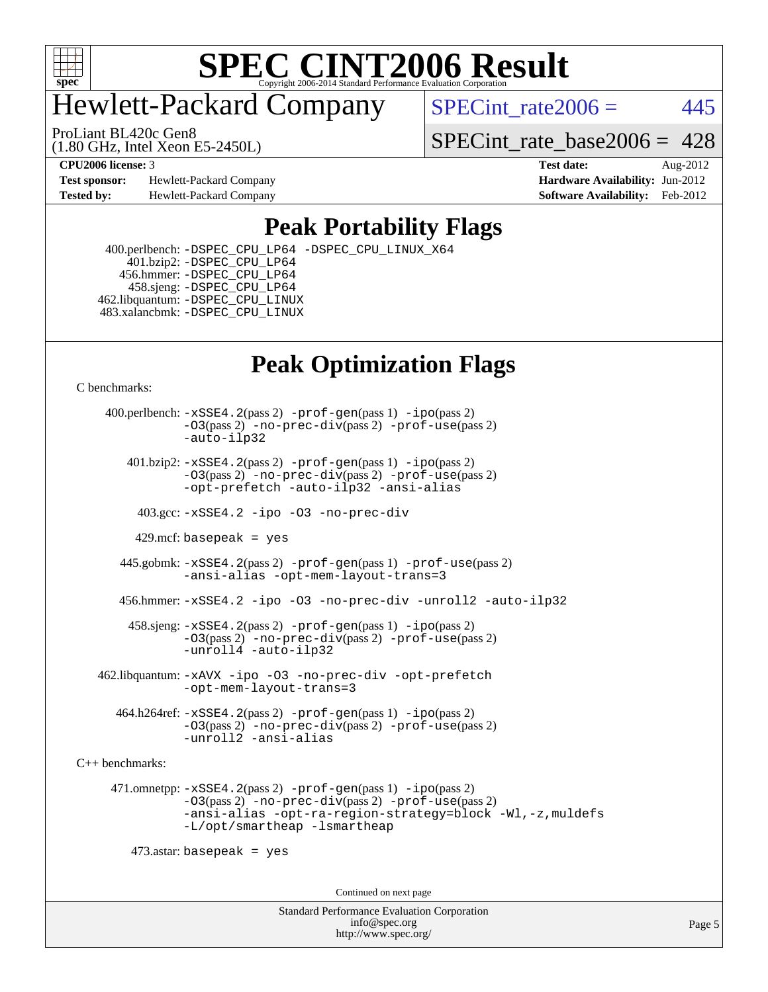

## Hewlett-Packard Company

 $SPECTnt_rate2006 = 445$ 

(1.80 GHz, Intel Xeon E5-2450L) ProLiant BL420c Gen8

[SPECint\\_rate\\_base2006 =](http://www.spec.org/auto/cpu2006/Docs/result-fields.html#SPECintratebase2006)  $428$ 

**[Test sponsor:](http://www.spec.org/auto/cpu2006/Docs/result-fields.html#Testsponsor)** Hewlett-Packard Company **[Hardware Availability:](http://www.spec.org/auto/cpu2006/Docs/result-fields.html#HardwareAvailability)** Jun-2012 **[Tested by:](http://www.spec.org/auto/cpu2006/Docs/result-fields.html#Testedby)** Hewlett-Packard Company **[Software Availability:](http://www.spec.org/auto/cpu2006/Docs/result-fields.html#SoftwareAvailability)** Feb-2012

**[CPU2006 license:](http://www.spec.org/auto/cpu2006/Docs/result-fields.html#CPU2006license)** 3 **[Test date:](http://www.spec.org/auto/cpu2006/Docs/result-fields.html#Testdate)** Aug-2012

### **[Peak Portability Flags](http://www.spec.org/auto/cpu2006/Docs/result-fields.html#PeakPortabilityFlags)**

 400.perlbench: [-DSPEC\\_CPU\\_LP64](http://www.spec.org/cpu2006/results/res2012q3/cpu2006-20120911-24417.flags.html#b400.perlbench_peakCPORTABILITY_DSPEC_CPU_LP64) [-DSPEC\\_CPU\\_LINUX\\_X64](http://www.spec.org/cpu2006/results/res2012q3/cpu2006-20120911-24417.flags.html#b400.perlbench_peakCPORTABILITY_DSPEC_CPU_LINUX_X64) 401.bzip2: [-DSPEC\\_CPU\\_LP64](http://www.spec.org/cpu2006/results/res2012q3/cpu2006-20120911-24417.flags.html#suite_peakCPORTABILITY401_bzip2_DSPEC_CPU_LP64) 456.hmmer: [-DSPEC\\_CPU\\_LP64](http://www.spec.org/cpu2006/results/res2012q3/cpu2006-20120911-24417.flags.html#suite_peakCPORTABILITY456_hmmer_DSPEC_CPU_LP64) 458.sjeng: [-DSPEC\\_CPU\\_LP64](http://www.spec.org/cpu2006/results/res2012q3/cpu2006-20120911-24417.flags.html#suite_peakCPORTABILITY458_sjeng_DSPEC_CPU_LP64) 462.libquantum: [-DSPEC\\_CPU\\_LINUX](http://www.spec.org/cpu2006/results/res2012q3/cpu2006-20120911-24417.flags.html#b462.libquantum_peakCPORTABILITY_DSPEC_CPU_LINUX) 483.xalancbmk: [-DSPEC\\_CPU\\_LINUX](http://www.spec.org/cpu2006/results/res2012q3/cpu2006-20120911-24417.flags.html#b483.xalancbmk_peakCXXPORTABILITY_DSPEC_CPU_LINUX)

## **[Peak Optimization Flags](http://www.spec.org/auto/cpu2006/Docs/result-fields.html#PeakOptimizationFlags)**

[C benchmarks](http://www.spec.org/auto/cpu2006/Docs/result-fields.html#Cbenchmarks):

 400.perlbench: [-xSSE4.2](http://www.spec.org/cpu2006/results/res2012q3/cpu2006-20120911-24417.flags.html#user_peakPASS2_CFLAGSPASS2_LDCFLAGS400_perlbench_f-xSSE42_f91528193cf0b216347adb8b939d4107)(pass 2) [-prof-gen](http://www.spec.org/cpu2006/results/res2012q3/cpu2006-20120911-24417.flags.html#user_peakPASS1_CFLAGSPASS1_LDCFLAGS400_perlbench_prof_gen_e43856698f6ca7b7e442dfd80e94a8fc)(pass 1) [-ipo](http://www.spec.org/cpu2006/results/res2012q3/cpu2006-20120911-24417.flags.html#user_peakPASS2_CFLAGSPASS2_LDCFLAGS400_perlbench_f-ipo)(pass 2) [-O3](http://www.spec.org/cpu2006/results/res2012q3/cpu2006-20120911-24417.flags.html#user_peakPASS2_CFLAGSPASS2_LDCFLAGS400_perlbench_f-O3)(pass 2) [-no-prec-div](http://www.spec.org/cpu2006/results/res2012q3/cpu2006-20120911-24417.flags.html#user_peakPASS2_CFLAGSPASS2_LDCFLAGS400_perlbench_f-no-prec-div)(pass 2) [-prof-use](http://www.spec.org/cpu2006/results/res2012q3/cpu2006-20120911-24417.flags.html#user_peakPASS2_CFLAGSPASS2_LDCFLAGS400_perlbench_prof_use_bccf7792157ff70d64e32fe3e1250b55)(pass 2) [-auto-ilp32](http://www.spec.org/cpu2006/results/res2012q3/cpu2006-20120911-24417.flags.html#user_peakCOPTIMIZE400_perlbench_f-auto-ilp32)  $401.bzip2: -xSSE4.2(pass 2) -prof-qen(pass 1) -ipo(pass 2)$  $401.bzip2: -xSSE4.2(pass 2) -prof-qen(pass 1) -ipo(pass 2)$  $401.bzip2: -xSSE4.2(pass 2) -prof-qen(pass 1) -ipo(pass 2)$  $401.bzip2: -xSSE4.2(pass 2) -prof-qen(pass 1) -ipo(pass 2)$  $401.bzip2: -xSSE4.2(pass 2) -prof-qen(pass 1) -ipo(pass 2)$ [-O3](http://www.spec.org/cpu2006/results/res2012q3/cpu2006-20120911-24417.flags.html#user_peakPASS2_CFLAGSPASS2_LDCFLAGS401_bzip2_f-O3)(pass 2) [-no-prec-div](http://www.spec.org/cpu2006/results/res2012q3/cpu2006-20120911-24417.flags.html#user_peakPASS2_CFLAGSPASS2_LDCFLAGS401_bzip2_f-no-prec-div)(pass 2) [-prof-use](http://www.spec.org/cpu2006/results/res2012q3/cpu2006-20120911-24417.flags.html#user_peakPASS2_CFLAGSPASS2_LDCFLAGS401_bzip2_prof_use_bccf7792157ff70d64e32fe3e1250b55)(pass 2) [-opt-prefetch](http://www.spec.org/cpu2006/results/res2012q3/cpu2006-20120911-24417.flags.html#user_peakCOPTIMIZE401_bzip2_f-opt-prefetch) [-auto-ilp32](http://www.spec.org/cpu2006/results/res2012q3/cpu2006-20120911-24417.flags.html#user_peakCOPTIMIZE401_bzip2_f-auto-ilp32) [-ansi-alias](http://www.spec.org/cpu2006/results/res2012q3/cpu2006-20120911-24417.flags.html#user_peakCOPTIMIZE401_bzip2_f-ansi-alias) 403.gcc: [-xSSE4.2](http://www.spec.org/cpu2006/results/res2012q3/cpu2006-20120911-24417.flags.html#user_peakCOPTIMIZE403_gcc_f-xSSE42_f91528193cf0b216347adb8b939d4107) [-ipo](http://www.spec.org/cpu2006/results/res2012q3/cpu2006-20120911-24417.flags.html#user_peakCOPTIMIZE403_gcc_f-ipo) [-O3](http://www.spec.org/cpu2006/results/res2012q3/cpu2006-20120911-24417.flags.html#user_peakCOPTIMIZE403_gcc_f-O3) [-no-prec-div](http://www.spec.org/cpu2006/results/res2012q3/cpu2006-20120911-24417.flags.html#user_peakCOPTIMIZE403_gcc_f-no-prec-div) 429.mcf: basepeak = yes 445.gobmk: [-xSSE4.2](http://www.spec.org/cpu2006/results/res2012q3/cpu2006-20120911-24417.flags.html#user_peakPASS2_CFLAGSPASS2_LDCFLAGS445_gobmk_f-xSSE42_f91528193cf0b216347adb8b939d4107)(pass 2) [-prof-gen](http://www.spec.org/cpu2006/results/res2012q3/cpu2006-20120911-24417.flags.html#user_peakPASS1_CFLAGSPASS1_LDCFLAGS445_gobmk_prof_gen_e43856698f6ca7b7e442dfd80e94a8fc)(pass 1) [-prof-use](http://www.spec.org/cpu2006/results/res2012q3/cpu2006-20120911-24417.flags.html#user_peakPASS2_CFLAGSPASS2_LDCFLAGS445_gobmk_prof_use_bccf7792157ff70d64e32fe3e1250b55)(pass 2) [-ansi-alias](http://www.spec.org/cpu2006/results/res2012q3/cpu2006-20120911-24417.flags.html#user_peakCOPTIMIZE445_gobmk_f-ansi-alias) [-opt-mem-layout-trans=3](http://www.spec.org/cpu2006/results/res2012q3/cpu2006-20120911-24417.flags.html#user_peakCOPTIMIZE445_gobmk_f-opt-mem-layout-trans_a7b82ad4bd7abf52556d4961a2ae94d5) 456.hmmer: [-xSSE4.2](http://www.spec.org/cpu2006/results/res2012q3/cpu2006-20120911-24417.flags.html#user_peakCOPTIMIZE456_hmmer_f-xSSE42_f91528193cf0b216347adb8b939d4107) [-ipo](http://www.spec.org/cpu2006/results/res2012q3/cpu2006-20120911-24417.flags.html#user_peakCOPTIMIZE456_hmmer_f-ipo) [-O3](http://www.spec.org/cpu2006/results/res2012q3/cpu2006-20120911-24417.flags.html#user_peakCOPTIMIZE456_hmmer_f-O3) [-no-prec-div](http://www.spec.org/cpu2006/results/res2012q3/cpu2006-20120911-24417.flags.html#user_peakCOPTIMIZE456_hmmer_f-no-prec-div) [-unroll2](http://www.spec.org/cpu2006/results/res2012q3/cpu2006-20120911-24417.flags.html#user_peakCOPTIMIZE456_hmmer_f-unroll_784dae83bebfb236979b41d2422d7ec2) [-auto-ilp32](http://www.spec.org/cpu2006/results/res2012q3/cpu2006-20120911-24417.flags.html#user_peakCOPTIMIZE456_hmmer_f-auto-ilp32) 458.sjeng: [-xSSE4.2](http://www.spec.org/cpu2006/results/res2012q3/cpu2006-20120911-24417.flags.html#user_peakPASS2_CFLAGSPASS2_LDCFLAGS458_sjeng_f-xSSE42_f91528193cf0b216347adb8b939d4107)(pass 2) [-prof-gen](http://www.spec.org/cpu2006/results/res2012q3/cpu2006-20120911-24417.flags.html#user_peakPASS1_CFLAGSPASS1_LDCFLAGS458_sjeng_prof_gen_e43856698f6ca7b7e442dfd80e94a8fc)(pass 1) [-ipo](http://www.spec.org/cpu2006/results/res2012q3/cpu2006-20120911-24417.flags.html#user_peakPASS2_CFLAGSPASS2_LDCFLAGS458_sjeng_f-ipo)(pass 2) [-O3](http://www.spec.org/cpu2006/results/res2012q3/cpu2006-20120911-24417.flags.html#user_peakPASS2_CFLAGSPASS2_LDCFLAGS458_sjeng_f-O3)(pass 2) [-no-prec-div](http://www.spec.org/cpu2006/results/res2012q3/cpu2006-20120911-24417.flags.html#user_peakPASS2_CFLAGSPASS2_LDCFLAGS458_sjeng_f-no-prec-div)(pass 2) [-prof-use](http://www.spec.org/cpu2006/results/res2012q3/cpu2006-20120911-24417.flags.html#user_peakPASS2_CFLAGSPASS2_LDCFLAGS458_sjeng_prof_use_bccf7792157ff70d64e32fe3e1250b55)(pass 2) [-unroll4](http://www.spec.org/cpu2006/results/res2012q3/cpu2006-20120911-24417.flags.html#user_peakCOPTIMIZE458_sjeng_f-unroll_4e5e4ed65b7fd20bdcd365bec371b81f) [-auto-ilp32](http://www.spec.org/cpu2006/results/res2012q3/cpu2006-20120911-24417.flags.html#user_peakCOPTIMIZE458_sjeng_f-auto-ilp32) 462.libquantum: [-xAVX](http://www.spec.org/cpu2006/results/res2012q3/cpu2006-20120911-24417.flags.html#user_peakCOPTIMIZE462_libquantum_f-xAVX) [-ipo](http://www.spec.org/cpu2006/results/res2012q3/cpu2006-20120911-24417.flags.html#user_peakCOPTIMIZE462_libquantum_f-ipo) [-O3](http://www.spec.org/cpu2006/results/res2012q3/cpu2006-20120911-24417.flags.html#user_peakCOPTIMIZE462_libquantum_f-O3) [-no-prec-div](http://www.spec.org/cpu2006/results/res2012q3/cpu2006-20120911-24417.flags.html#user_peakCOPTIMIZE462_libquantum_f-no-prec-div) [-opt-prefetch](http://www.spec.org/cpu2006/results/res2012q3/cpu2006-20120911-24417.flags.html#user_peakCOPTIMIZE462_libquantum_f-opt-prefetch) [-opt-mem-layout-trans=3](http://www.spec.org/cpu2006/results/res2012q3/cpu2006-20120911-24417.flags.html#user_peakCOPTIMIZE462_libquantum_f-opt-mem-layout-trans_a7b82ad4bd7abf52556d4961a2ae94d5) 464.h264ref: [-xSSE4.2](http://www.spec.org/cpu2006/results/res2012q3/cpu2006-20120911-24417.flags.html#user_peakPASS2_CFLAGSPASS2_LDCFLAGS464_h264ref_f-xSSE42_f91528193cf0b216347adb8b939d4107)(pass 2) [-prof-gen](http://www.spec.org/cpu2006/results/res2012q3/cpu2006-20120911-24417.flags.html#user_peakPASS1_CFLAGSPASS1_LDCFLAGS464_h264ref_prof_gen_e43856698f6ca7b7e442dfd80e94a8fc)(pass 1) [-ipo](http://www.spec.org/cpu2006/results/res2012q3/cpu2006-20120911-24417.flags.html#user_peakPASS2_CFLAGSPASS2_LDCFLAGS464_h264ref_f-ipo)(pass 2) [-O3](http://www.spec.org/cpu2006/results/res2012q3/cpu2006-20120911-24417.flags.html#user_peakPASS2_CFLAGSPASS2_LDCFLAGS464_h264ref_f-O3)(pass 2) [-no-prec-div](http://www.spec.org/cpu2006/results/res2012q3/cpu2006-20120911-24417.flags.html#user_peakPASS2_CFLAGSPASS2_LDCFLAGS464_h264ref_f-no-prec-div)(pass 2) [-prof-use](http://www.spec.org/cpu2006/results/res2012q3/cpu2006-20120911-24417.flags.html#user_peakPASS2_CFLAGSPASS2_LDCFLAGS464_h264ref_prof_use_bccf7792157ff70d64e32fe3e1250b55)(pass 2) [-unroll2](http://www.spec.org/cpu2006/results/res2012q3/cpu2006-20120911-24417.flags.html#user_peakCOPTIMIZE464_h264ref_f-unroll_784dae83bebfb236979b41d2422d7ec2) [-ansi-alias](http://www.spec.org/cpu2006/results/res2012q3/cpu2006-20120911-24417.flags.html#user_peakCOPTIMIZE464_h264ref_f-ansi-alias) [C++ benchmarks:](http://www.spec.org/auto/cpu2006/Docs/result-fields.html#CXXbenchmarks) 471.omnetpp: [-xSSE4.2](http://www.spec.org/cpu2006/results/res2012q3/cpu2006-20120911-24417.flags.html#user_peakPASS2_CXXFLAGSPASS2_LDCXXFLAGS471_omnetpp_f-xSSE42_f91528193cf0b216347adb8b939d4107)(pass 2) [-prof-gen](http://www.spec.org/cpu2006/results/res2012q3/cpu2006-20120911-24417.flags.html#user_peakPASS1_CXXFLAGSPASS1_LDCXXFLAGS471_omnetpp_prof_gen_e43856698f6ca7b7e442dfd80e94a8fc)(pass 1) [-ipo](http://www.spec.org/cpu2006/results/res2012q3/cpu2006-20120911-24417.flags.html#user_peakPASS2_CXXFLAGSPASS2_LDCXXFLAGS471_omnetpp_f-ipo)(pass 2) [-O3](http://www.spec.org/cpu2006/results/res2012q3/cpu2006-20120911-24417.flags.html#user_peakPASS2_CXXFLAGSPASS2_LDCXXFLAGS471_omnetpp_f-O3)(pass 2) [-no-prec-div](http://www.spec.org/cpu2006/results/res2012q3/cpu2006-20120911-24417.flags.html#user_peakPASS2_CXXFLAGSPASS2_LDCXXFLAGS471_omnetpp_f-no-prec-div)(pass 2) [-prof-use](http://www.spec.org/cpu2006/results/res2012q3/cpu2006-20120911-24417.flags.html#user_peakPASS2_CXXFLAGSPASS2_LDCXXFLAGS471_omnetpp_prof_use_bccf7792157ff70d64e32fe3e1250b55)(pass 2) [-ansi-alias](http://www.spec.org/cpu2006/results/res2012q3/cpu2006-20120911-24417.flags.html#user_peakCXXOPTIMIZE471_omnetpp_f-ansi-alias) [-opt-ra-region-strategy=block](http://www.spec.org/cpu2006/results/res2012q3/cpu2006-20120911-24417.flags.html#user_peakCXXOPTIMIZE471_omnetpp_f-opt-ra-region-strategy_a0a37c372d03933b2a18d4af463c1f69) [-Wl,-z,muldefs](http://www.spec.org/cpu2006/results/res2012q3/cpu2006-20120911-24417.flags.html#user_peakEXTRA_LDFLAGS471_omnetpp_link_force_multiple1_74079c344b956b9658436fd1b6dd3a8a) [-L/opt/smartheap -lsmartheap](http://www.spec.org/cpu2006/results/res2012q3/cpu2006-20120911-24417.flags.html#user_peakEXTRA_LIBS471_omnetpp_SmartHeap_88e827ca57d1225666ab17d9982dab13)  $473$ .astar: basepeak = yes Continued on next page

> Standard Performance Evaluation Corporation [info@spec.org](mailto:info@spec.org) <http://www.spec.org/>